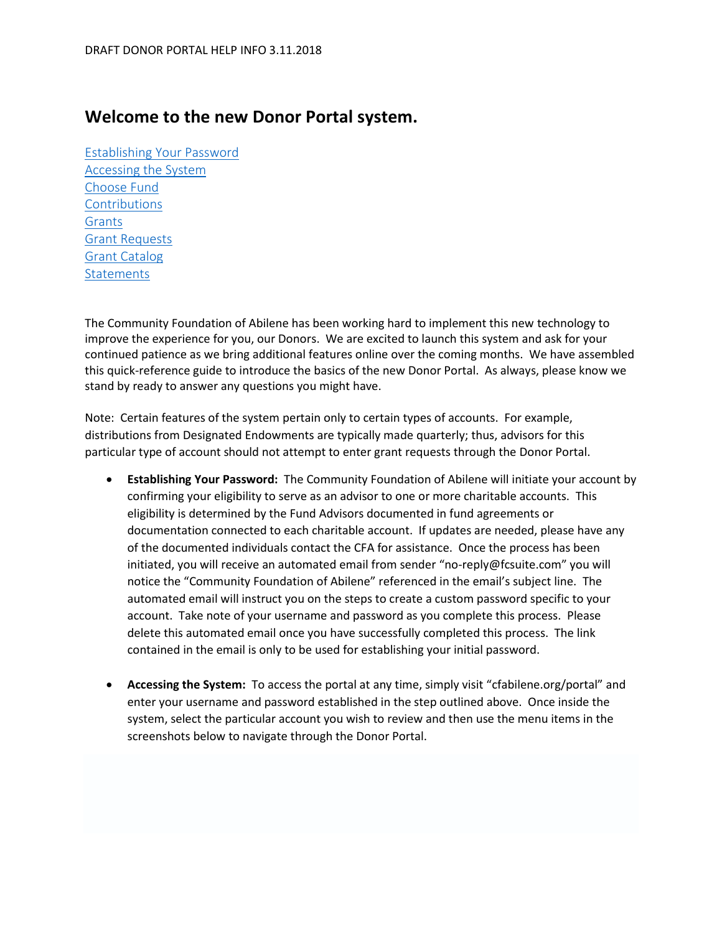## **Welcome to the new Donor Portal system.**

[Establishing Your Password](#page-0-0) [Accessing the System](#page-0-1) [Choose Fund](#page-2-0) [Contributions](#page-2-1) [Grants](#page-2-2) [Grant Requests](#page-3-0) [Grant Catalog](#page-3-1) **[Statements](#page-3-2)** 

The Community Foundation of Abilene has been working hard to implement this new technology to improve the experience for you, our Donors. We are excited to launch this system and ask for your continued patience as we bring additional features online over the coming months. We have assembled this quick-reference guide to introduce the basics of the new Donor Portal. As always, please know we stand by ready to answer any questions you might have.

Note: Certain features of the system pertain only to certain types of accounts. For example, distributions from Designated Endowments are typically made quarterly; thus, advisors for this particular type of account should not attempt to enter grant requests through the Donor Portal.

- <span id="page-0-0"></span>• **Establishing Your Password:** The Community Foundation of Abilene will initiate your account by confirming your eligibility to serve as an advisor to one or more charitable accounts. This eligibility is determined by the Fund Advisors documented in fund agreements or documentation connected to each charitable account. If updates are needed, please have any of the documented individuals contact the CFA for assistance. Once the process has been initiated, you will receive an automated email from sender "no-reply@fcsuite.com" you will notice the "Community Foundation of Abilene" referenced in the email's subject line. The automated email will instruct you on the steps to create a custom password specific to your account. Take note of your username and password as you complete this process. Please delete this automated email once you have successfully completed this process. The link contained in the email is only to be used for establishing your initial password.
- <span id="page-0-1"></span>• **Accessing the System:** To access the portal at any time, simply visit "cfabilene.org/portal" and enter your username and password established in the step outlined above. Once inside the system, select the particular account you wish to review and then use the menu items in the screenshots below to navigate through the Donor Portal.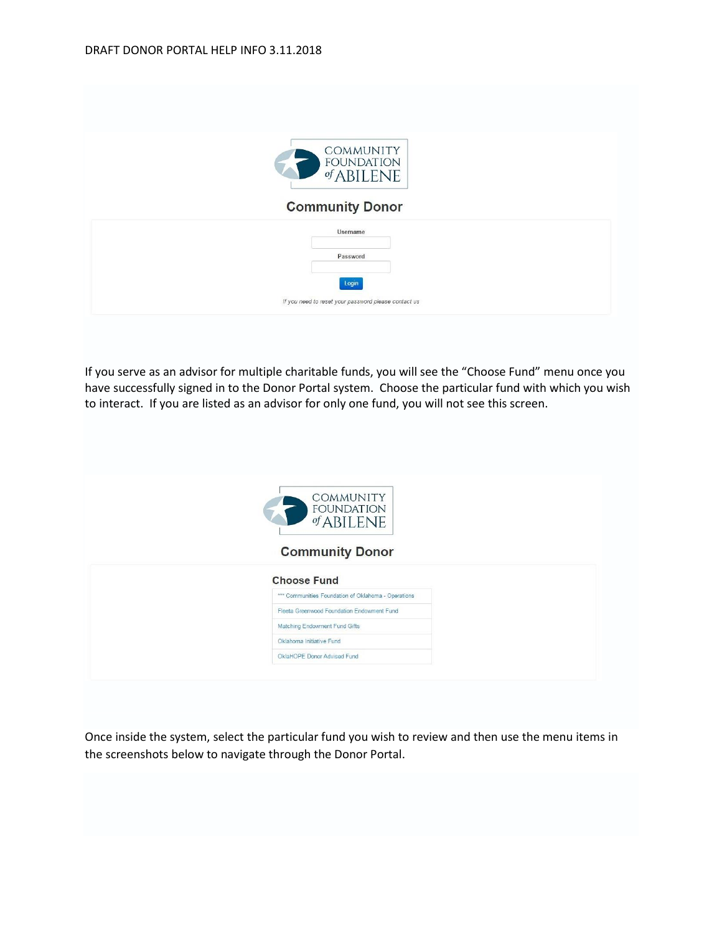| COMMUNITY<br>FOUNDATION<br><b>Community Donor</b>             |
|---------------------------------------------------------------|
| Username                                                      |
| Password                                                      |
| Login<br>If you need to reset your password please contact us |
|                                                               |

If you serve as an advisor for multiple charitable funds, you will see the "Choose Fund" menu once you have successfully signed in to the Donor Portal system. Choose the particular fund with which you wish to interact. If you are listed as an advisor for only one fund, you will not see this screen.

| <b>COMMUNITY</b><br>$\mathcal{L}_{\mathbf{1}}$<br>FOUNDATION<br><b>Community Donor</b> |  |
|----------------------------------------------------------------------------------------|--|
| <b>Choose Fund</b>                                                                     |  |
|                                                                                        |  |
| *** Communities Foundation of Oklahoma - Operations                                    |  |
| Fleeta Greenwood Foundation Endowment Fund                                             |  |
|                                                                                        |  |
| Matching Endowment Fund Gifts                                                          |  |
| Oklahoma Initiative Fund                                                               |  |

Once inside the system, select the particular fund you wish to review and then use the menu items in the screenshots below to navigate through the Donor Portal.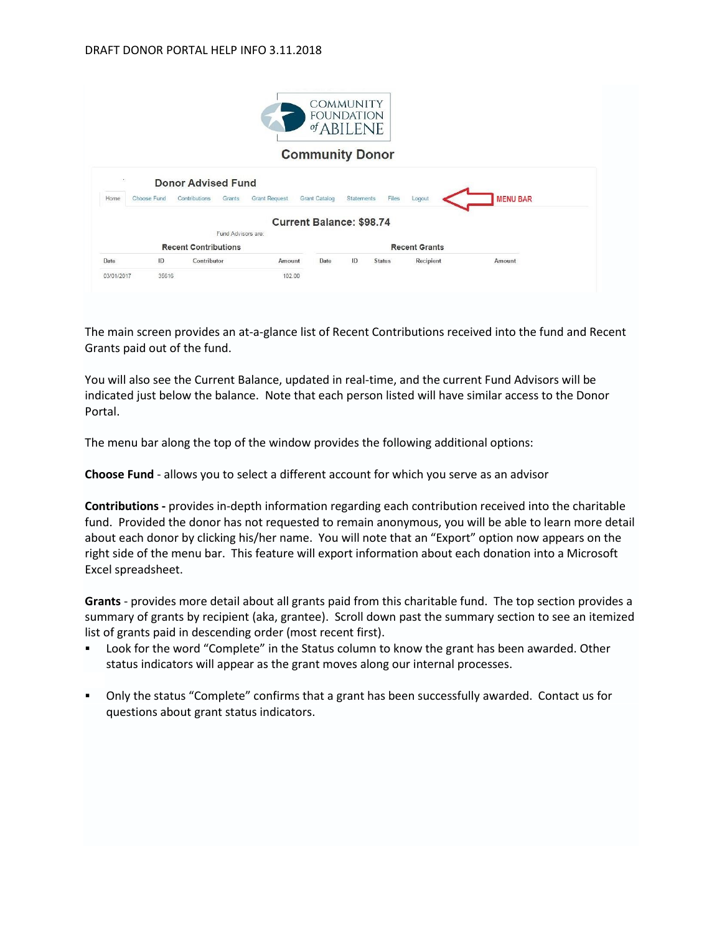|      |             |                             |                      |                      | <b>COMMUNITY</b><br><b>FOUNDATION</b><br>$of$ ABILENE |                      |                 |
|------|-------------|-----------------------------|----------------------|----------------------|-------------------------------------------------------|----------------------|-----------------|
|      |             |                             |                      |                      | <b>Community Donor</b>                                |                      |                 |
|      |             |                             |                      |                      |                                                       |                      |                 |
| ×    |             | <b>Donor Advised Fund</b>   |                      |                      |                                                       |                      |                 |
|      | Choose Fund | Contributions<br>Grants     | <b>Grant Request</b> | <b>Grant Catalog</b> | Files<br><b>Statements</b>                            | Logout               | <b>MENU BAR</b> |
| Home |             |                             |                      |                      | <b>Current Balance: \$98.74</b>                       |                      |                 |
|      |             | Fund Advisors are:          |                      |                      |                                                       |                      |                 |
|      |             | <b>Recent Contributions</b> |                      |                      |                                                       | <b>Recent Grants</b> |                 |
| Date | ID          | Contributor                 | Amount               | Date                 | ID<br><b>Status</b>                                   | Recipient            | Amount          |

The main screen provides an at-a-glance list of Recent Contributions received into the fund and Recent Grants paid out of the fund.

You will also see the Current Balance, updated in real-time, and the current Fund Advisors will be indicated just below the balance. Note that each person listed will have similar access to the Donor Portal.

<span id="page-2-0"></span>The menu bar along the top of the window provides the following additional options:

**Choose Fund** - allows you to select a different account for which you serve as an advisor

<span id="page-2-1"></span>**Contributions -** provides in-depth information regarding each contribution received into the charitable fund. Provided the donor has not requested to remain anonymous, you will be able to learn more detail about each donor by clicking his/her name. You will note that an "Export" option now appears on the right side of the menu bar. This feature will export information about each donation into a Microsoft Excel spreadsheet.

<span id="page-2-2"></span>**Grants** - provides more detail about all grants paid from this charitable fund. The top section provides a summary of grants by recipient (aka, grantee). Scroll down past the summary section to see an itemized list of grants paid in descending order (most recent first).

- Look for the word "Complete" in the Status column to know the grant has been awarded. Other status indicators will appear as the grant moves along our internal processes.
- Only the status "Complete" confirms that a grant has been successfully awarded. Contact us for questions about grant status indicators.